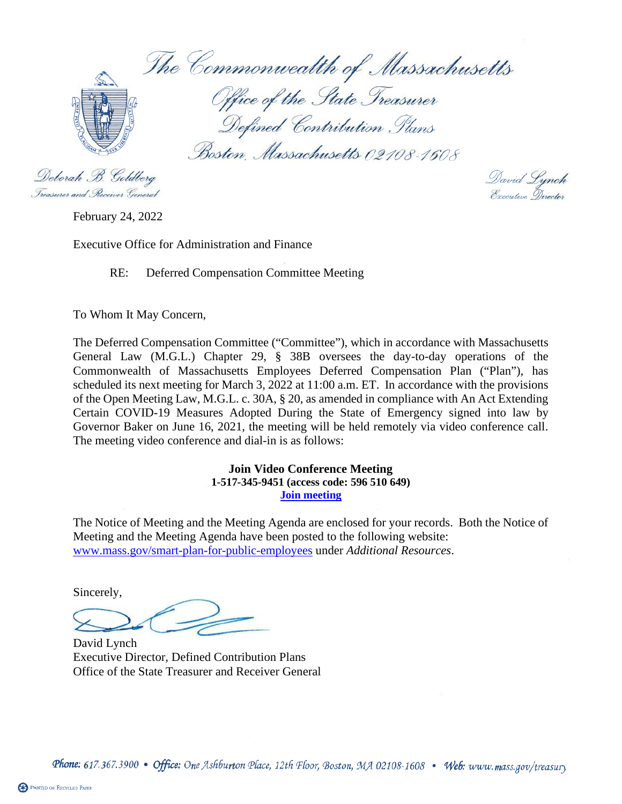The Commonwealth of Massachusetts Office of the State Treasurer Defined Contribution Plans Boston, Massachusetts 02108-1608

Deborah B. Goldberg Treasurer and Receiver General

David Lynch<br>Executive Director

February 24, 2022

Executive Office for Administration and Finance

RE: Deferred Compensation Committee Meeting

To Whom It May Concern,

The Deferred Compensation Committee ("Committee"), which in accordance with Massachusetts General Law (M.G.L.) Chapter 29, § 38B oversees the day-to-day operations of the Commonwealth of Massachusetts Employees Deferred Compensation Plan ("Plan"), has scheduled its next meeting for March 3, 2022 at 11:00 a.m. ET. In accordance with the provisions of the Open Meeting Law, M.G.L. c. 30A, § 20, as amended in compliance with An Act Extending Certain COVID-19 Measures Adopted During the State of Emergency signed into law by Governor Baker on June 16, 2021, the meeting will be held remotely via video conference call. The meeting video conference and dial-in is as follows:

## **Join Video Conference Meeting 1-517-345-9451 (access code: 596 510 649) [Join meeting](https://aon.webex.com/join/sue.sinclair)**

The Notice of Meeting and the Meeting Agenda are enclosed for your records. Both the Notice of Meeting and the Meeting Agenda have been posted to the following website: [www.mass.gov/smart-plan-for-public-employees](http://www.mass.gov/smart-plan-for-public-employees) under *Additional Resources*.

Sincerely,

David Lynch Executive Director, Defined Contribution Plans Office of the State Treasurer and Receiver General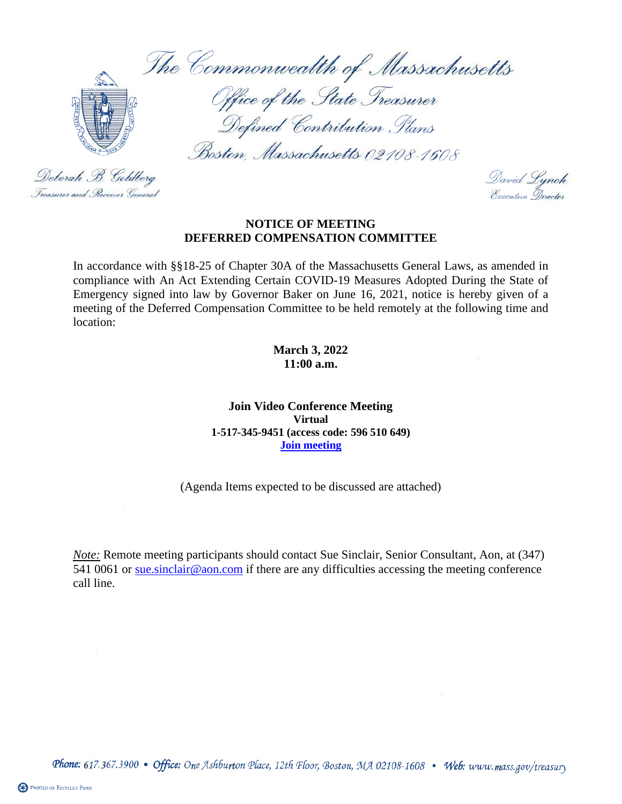The Commonwealth of Massachusetts



Deborah B. Goldberg

Treasurer and Receiver General

Office of the State Treasurer Defined Contribution Plans

Boston, Massachusetts 02108-1608

David Lynch<br>Executive Director

## **NOTICE OF MEETING DEFERRED COMPENSATION COMMITTEE**

In accordance with §§18-25 of Chapter 30A of the Massachusetts General Laws, as amended in compliance with An Act Extending Certain COVID-19 Measures Adopted During the State of Emergency signed into law by Governor Baker on June 16, 2021, notice is hereby given of a meeting of the Deferred Compensation Committee to be held remotely at the following time and location:

> **March 3, 2022 11:00 a.m.**

**Join Video Conference Meeting Virtual 1-517-345-9451 (access code: 596 510 649) [Join meeting](https://aon.webex.com/join/sue.sinclair)**

(Agenda Items expected to be discussed are attached)

*Note:* Remote meeting participants should contact Sue Sinclair, Senior Consultant, Aon, at (347) 541 0061 or sue sinclair@aon.com if there are any difficulties accessing the meeting conference call line.